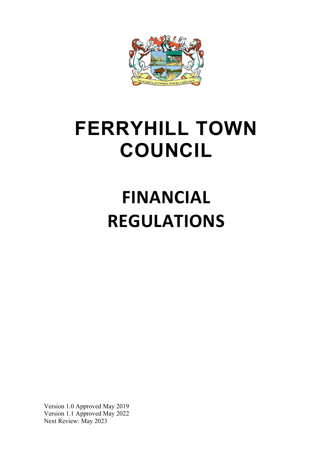

# **FERRYHILL TOWN COUNCIL**

# **FINANCIAL REGULATIONS**

Version 1.0 Approved May 2019 Version 1.1 Approved May 2022 Next Review: May 2023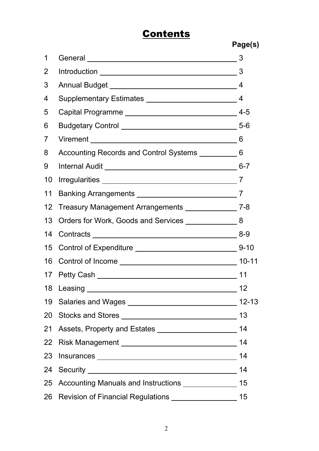# **Contents**

**Page(s)**

| 1               | General 23                                                                               |                 |
|-----------------|------------------------------------------------------------------------------------------|-----------------|
| 2               |                                                                                          |                 |
| 3               |                                                                                          |                 |
| 4               |                                                                                          |                 |
| 5               |                                                                                          | $4 - 5$         |
| 6               |                                                                                          |                 |
| $\overline{7}$  |                                                                                          |                 |
| 8               | Accounting Records and Control Systems _____________6                                    |                 |
| 9               |                                                                                          |                 |
| 10              |                                                                                          |                 |
| 11              |                                                                                          |                 |
| 12              | Treasury Management Arrangements ________________7-8                                     |                 |
| 13              | Orders for Work, Goods and Services ________________8                                    |                 |
|                 |                                                                                          |                 |
| 15 <sub>1</sub> |                                                                                          |                 |
| 16              | Control of Income ________________________________                                       | $10 - 11$       |
|                 |                                                                                          | 11              |
|                 | 18 Leasing                                                                               | 12 <sub>2</sub> |
|                 |                                                                                          | $12 - 13$       |
|                 |                                                                                          | 13              |
|                 |                                                                                          | 14              |
|                 | 22 Risk Management __________________________________                                    | 14              |
|                 |                                                                                          | 14              |
|                 | 24 Security 24 Security 24 Security 24 Security 24 Security 24 Security 24 Security 2012 | 14              |
|                 | 25 Accounting Manuals and Instructions ________________ 15                               |                 |
|                 | 26 Revision of Financial Regulations _________________                                   | 15              |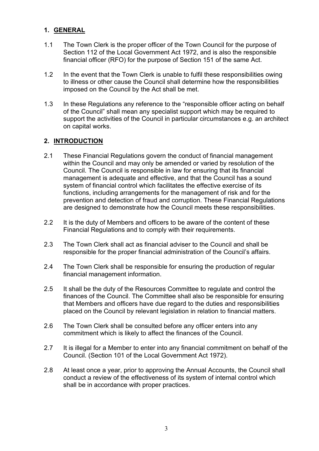### **1. GENERAL**

- 1.1 The Town Clerk is the proper officer of the Town Council for the purpose of Section 112 of the Local Government Act 1972, and is also the responsible financial officer (RFO) for the purpose of Section 151 of the same Act.
- 1.2 In the event that the Town Clerk is unable to fulfil these responsibilities owing to illness or other cause the Council shall determine how the responsibilities imposed on the Council by the Act shall be met.
- 1.3 In these Regulations any reference to the "responsible officer acting on behalf of the Council" shall mean any specialist support which may be required to support the activities of the Council in particular circumstances e.g. an architect on capital works.

#### **2. INTRODUCTION**

- 2.1 These Financial Regulations govern the conduct of financial management within the Council and may only be amended or varied by resolution of the Council. The Council is responsible in law for ensuring that its financial management is adequate and effective, and that the Council has a sound system of financial control which facilitates the effective exercise of its functions, including arrangements for the management of risk and for the prevention and detection of fraud and corruption. These Financial Regulations are designed to demonstrate how the Council meets these responsibilities.
- 2.2 It is the duty of Members and officers to be aware of the content of these Financial Regulations and to comply with their requirements.
- 2.3 The Town Clerk shall act as financial adviser to the Council and shall be responsible for the proper financial administration of the Council's affairs.
- 2.4 The Town Clerk shall be responsible for ensuring the production of regular financial management information.
- 2.5 It shall be the duty of the Resources Committee to regulate and control the finances of the Council. The Committee shall also be responsible for ensuring that Members and officers have due regard to the duties and responsibilities placed on the Council by relevant legislation in relation to financial matters.
- 2.6 The Town Clerk shall be consulted before any officer enters into any commitment which is likely to affect the finances of the Council.
- 2.7 It is illegal for a Member to enter into any financial commitment on behalf of the Council. (Section 101 of the Local Government Act 1972).
- 2.8 At least once a year, prior to approving the Annual Accounts, the Council shall conduct a review of the effectiveness of its system of internal control which shall be in accordance with proper practices.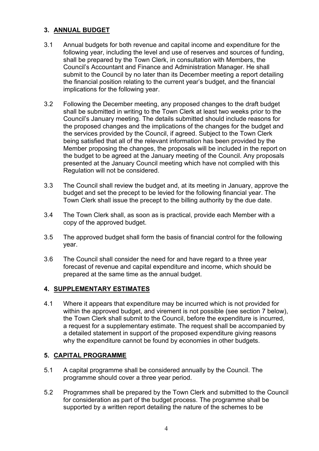#### **3. ANNUAL BUDGET**

- 3.1 Annual budgets for both revenue and capital income and expenditure for the following year, including the level and use of reserves and sources of funding, shall be prepared by the Town Clerk, in consultation with Members, the Council's Accountant and Finance and Administration Manager. He shall submit to the Council by no later than its December meeting a report detailing the financial position relating to the current year's budget, and the financial implications for the following year.
- 3.2 Following the December meeting, any proposed changes to the draft budget shall be submitted in writing to the Town Clerk at least two weeks prior to the Council's January meeting. The details submitted should include reasons for the proposed changes and the implications of the changes for the budget and the services provided by the Council, if agreed. Subject to the Town Clerk being satisfied that all of the relevant information has been provided by the Member proposing the changes, the proposals will be included in the report on the budget to be agreed at the January meeting of the Council. Any proposals presented at the January Council meeting which have not complied with this Regulation will not be considered.
- 3.3 The Council shall review the budget and, at its meeting in January, approve the budget and set the precept to be levied for the following financial year. The Town Clerk shall issue the precept to the billing authority by the due date.
- 3.4 The Town Clerk shall, as soon as is practical, provide each Member with a copy of the approved budget.
- 3.5 The approved budget shall form the basis of financial control for the following year.
- 3.6 The Council shall consider the need for and have regard to a three year forecast of revenue and capital expenditure and income, which should be prepared at the same time as the annual budget.

#### **4. SUPPLEMENTARY ESTIMATES**

4.1 Where it appears that expenditure may be incurred which is not provided for within the approved budget, and virement is not possible (see section 7 below), the Town Clerk shall submit to the Council, before the expenditure is incurred, a request for a supplementary estimate. The request shall be accompanied by a detailed statement in support of the proposed expenditure giving reasons why the expenditure cannot be found by economies in other budgets.

#### **5. CAPITAL PROGRAMME**

- 5.1 A capital programme shall be considered annually by the Council. The programme should cover a three year period.
- 5.2 Programmes shall be prepared by the Town Clerk and submitted to the Council for consideration as part of the budget process. The programme shall be supported by a written report detailing the nature of the schemes to be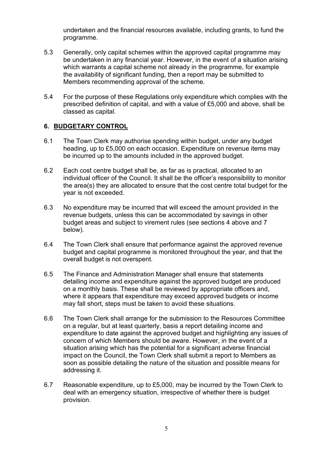undertaken and the financial resources available, including grants, to fund the programme.

- 5.3 Generally, only capital schemes within the approved capital programme may be undertaken in any financial year. However, in the event of a situation arising which warrants a capital scheme not already in the programme, for example the availability of significant funding, then a report may be submitted to Members recommending approval of the scheme.
- 5.4 For the purpose of these Regulations only expenditure which complies with the prescribed definition of capital, and with a value of £5,000 and above, shall be classed as capital.

#### **6. BUDGETARY CONTROL**

- 6.1 The Town Clerk may authorise spending within budget, under any budget heading, up to £5,000 on each occasion. Expenditure on revenue items may be incurred up to the amounts included in the approved budget.
- 6.2 Each cost centre budget shall be, as far as is practical, allocated to an individual officer of the Council. It shall be the officer's responsibility to monitor the area(s) they are allocated to ensure that the cost centre total budget for the year is not exceeded.
- 6.3 No expenditure may be incurred that will exceed the amount provided in the revenue budgets, unless this can be accommodated by savings in other budget areas and subject to virement rules (see sections 4 above and 7 below).
- 6.4 The Town Clerk shall ensure that performance against the approved revenue budget and capital programme is monitored throughout the year, and that the overall budget is not overspent.
- 6.5 The Finance and Administration Manager shall ensure that statements detailing income and expenditure against the approved budget are produced on a monthly basis. These shall be reviewed by appropriate officers and, where it appears that expenditure may exceed approved budgets or income may fall short, steps must be taken to avoid these situations.
- 6.6 The Town Clerk shall arrange for the submission to the Resources Committee on a regular, but at least quarterly, basis a report detailing income and expenditure to date against the approved budget and highlighting any issues of concern of which Members should be aware. However, in the event of a situation arising which has the potential for a significant adverse financial impact on the Council, the Town Clerk shall submit a report to Members as soon as possible detailing the nature of the situation and possible means for addressing it.
- 6.7 Reasonable expenditure, up to £5,000, may be incurred by the Town Clerk to deal with an emergency situation, irrespective of whether there is budget provision.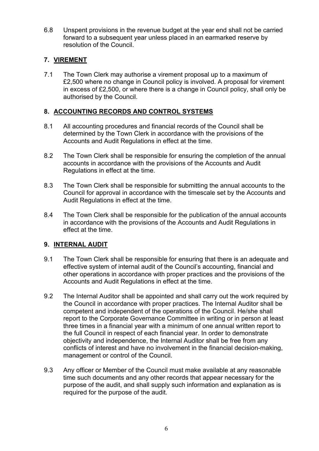6.8 Unspent provisions in the revenue budget at the year end shall not be carried forward to a subsequent year unless placed in an earmarked reserve by resolution of the Council.

#### **7. VIREMENT**

7.1 The Town Clerk may authorise a virement proposal up to a maximum of £2,500 where no change in Council policy is involved. A proposal for virement in excess of £2,500, or where there is a change in Council policy, shall only be authorised by the Council.

# **8. ACCOUNTING RECORDS AND CONTROL SYSTEMS**

- 8.1 All accounting procedures and financial records of the Council shall be determined by the Town Clerk in accordance with the provisions of the Accounts and Audit Regulations in effect at the time.
- 8.2 The Town Clerk shall be responsible for ensuring the completion of the annual accounts in accordance with the provisions of the Accounts and Audit Regulations in effect at the time.
- 8.3 The Town Clerk shall be responsible for submitting the annual accounts to the Council for approval in accordance with the timescale set by the Accounts and Audit Regulations in effect at the time.
- 8.4 The Town Clerk shall be responsible for the publication of the annual accounts in accordance with the provisions of the Accounts and Audit Regulations in effect at the time.

# **9. INTERNAL AUDIT**

- 9.1 The Town Clerk shall be responsible for ensuring that there is an adequate and effective system of internal audit of the Council's accounting, financial and other operations in accordance with proper practices and the provisions of the Accounts and Audit Regulations in effect at the time.
- 9.2 The Internal Auditor shall be appointed and shall carry out the work required by the Council in accordance with proper practices. The Internal Auditor shall be competent and independent of the operations of the Council. He/she shall report to the Corporate Governance Committee in writing or in person at least three times in a financial year with a minimum of one annual written report to the full Council in respect of each financial year. In order to demonstrate objectivity and independence, the Internal Auditor shall be free from any conflicts of interest and have no involvement in the financial decision-making, management or control of the Council.
- 9.3 Any officer or Member of the Council must make available at any reasonable time such documents and any other records that appear necessary for the purpose of the audit, and shall supply such information and explanation as is required for the purpose of the audit.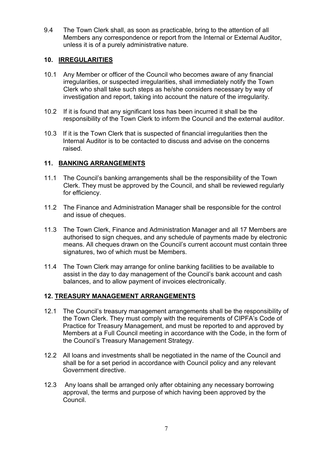9.4 The Town Clerk shall, as soon as practicable, bring to the attention of all Members any correspondence or report from the Internal or External Auditor, unless it is of a purely administrative nature.

#### **10. IRREGULARITIES**

- 10.1 Any Member or officer of the Council who becomes aware of any financial irregularities, or suspected irregularities, shall immediately notify the Town Clerk who shall take such steps as he/she considers necessary by way of investigation and report, taking into account the nature of the irregularity.
- 10.2 If it is found that any significant loss has been incurred it shall be the responsibility of the Town Clerk to inform the Council and the external auditor.
- 10.3 If it is the Town Clerk that is suspected of financial irregularities then the Internal Auditor is to be contacted to discuss and advise on the concerns raised.

#### **11. BANKING ARRANGEMENTS**

- 11.1 The Council's banking arrangements shall be the responsibility of the Town Clerk. They must be approved by the Council, and shall be reviewed regularly for efficiency.
- 11.2 The Finance and Administration Manager shall be responsible for the control and issue of cheques.
- 11.3 The Town Clerk, Finance and Administration Manager and all 17 Members are authorised to sign cheques, and any schedule of payments made by electronic means. All cheques drawn on the Council's current account must contain three signatures, two of which must be Members.
- 11.4 The Town Clerk may arrange for online banking facilities to be available to assist in the day to day management of the Council's bank account and cash balances, and to allow payment of invoices electronically.

#### **12. TREASURY MANAGEMENT ARRANGEMENTS**

- 12.1 The Council's treasury management arrangements shall be the responsibility of the Town Clerk. They must comply with the requirements of CIPFA's Code of Practice for Treasury Management, and must be reported to and approved by Members at a Full Council meeting in accordance with the Code, in the form of the Council's Treasury Management Strategy.
- 12.2 All loans and investments shall be negotiated in the name of the Council and shall be for a set period in accordance with Council policy and any relevant Government directive.
- 12.3 Any loans shall be arranged only after obtaining any necessary borrowing approval, the terms and purpose of which having been approved by the Council.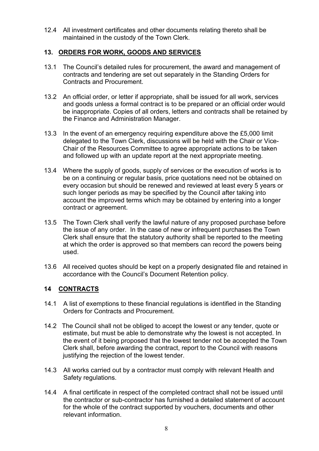12.4 All investment certificates and other documents relating thereto shall be maintained in the custody of the Town Clerk.

#### **13. ORDERS FOR WORK, GOODS AND SERVICES**

- 13.1 The Council's detailed rules for procurement, the award and management of contracts and tendering are set out separately in the Standing Orders for Contracts and Procurement.
- 13.2 An official order, or letter if appropriate, shall be issued for all work, services and goods unless a formal contract is to be prepared or an official order would be inappropriate. Copies of all orders, letters and contracts shall be retained by the Finance and Administration Manager.
- 13.3 In the event of an emergency requiring expenditure above the £5,000 limit delegated to the Town Clerk, discussions will be held with the Chair or Vice-Chair of the Resources Committee to agree appropriate actions to be taken and followed up with an update report at the next appropriate meeting.
- 13.4 Where the supply of goods, supply of services or the execution of works is to be on a continuing or regular basis, price quotations need not be obtained on every occasion but should be renewed and reviewed at least every 5 years or such longer periods as may be specified by the Council after taking into account the improved terms which may be obtained by entering into a longer contract or agreement.
- 13.5 The Town Clerk shall verify the lawful nature of any proposed purchase before the issue of any order. In the case of new or infrequent purchases the Town Clerk shall ensure that the statutory authority shall be reported to the meeting at which the order is approved so that members can record the powers being used.
- 13.6 All received quotes should be kept on a properly designated file and retained in accordance with the Council's Document Retention policy.

#### **14 CONTRACTS**

- 14.1 A list of exemptions to these financial regulations is identified in the Standing Orders for Contracts and Procurement.
- 14.2 The Council shall not be obliged to accept the lowest or any tender, quote or estimate, but must be able to demonstrate why the lowest is not accepted. In the event of it being proposed that the lowest tender not be accepted the Town Clerk shall, before awarding the contract, report to the Council with reasons justifying the rejection of the lowest tender.
- 14.3 All works carried out by a contractor must comply with relevant Health and Safety regulations.
- 14.4 A final certificate in respect of the completed contract shall not be issued until the contractor or sub-contractor has furnished a detailed statement of account for the whole of the contract supported by vouchers, documents and other relevant information.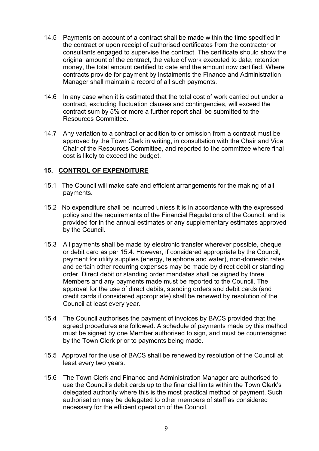- 14.5 Payments on account of a contract shall be made within the time specified in the contract or upon receipt of authorised certificates from the contractor or consultants engaged to supervise the contract. The certificate should show the original amount of the contract, the value of work executed to date, retention money, the total amount certified to date and the amount now certified. Where contracts provide for payment by instalments the Finance and Administration Manager shall maintain a record of all such payments.
- 14.6 In any case when it is estimated that the total cost of work carried out under a contract, excluding fluctuation clauses and contingencies, will exceed the contract sum by 5% or more a further report shall be submitted to the Resources Committee.
- 14.7 Any variation to a contract or addition to or omission from a contract must be approved by the Town Clerk in writing, in consultation with the Chair and Vice Chair of the Resources Committee, and reported to the committee where final cost is likely to exceed the budget.

#### **15. CONTROL OF EXPENDITURE**

- 15.1 The Council will make safe and efficient arrangements for the making of all payments.
- 15.2 No expenditure shall be incurred unless it is in accordance with the expressed policy and the requirements of the Financial Regulations of the Council, and is provided for in the annual estimates or any supplementary estimates approved by the Council.
- 15.3 All payments shall be made by electronic transfer wherever possible, cheque or debit card as per 15.4. However, if considered appropriate by the Council, payment for utility supplies (energy, telephone and water), non-domestic rates and certain other recurring expenses may be made by direct debit or standing order. Direct debit or standing order mandates shall be signed by three Members and any payments made must be reported to the Council. The approval for the use of direct debits, standing orders and debit cards (and credit cards if considered appropriate) shall be renewed by resolution of the Council at least every year.
- 15.4 The Council authorises the payment of invoices by BACS provided that the agreed procedures are followed. A schedule of payments made by this method must be signed by one Member authorised to sign, and must be countersigned by the Town Clerk prior to payments being made.
- 15.5Approval for the use of BACS shall be renewed by resolution of the Council at least every two years.
- 15.6 The Town Clerk and Finance and Administration Manager are authorised to use the Council's debit cards up to the financial limits within the Town Clerk's delegated authority where this is the most practical method of payment. Such authorisation may be delegated to other members of staff as considered necessary for the efficient operation of the Council.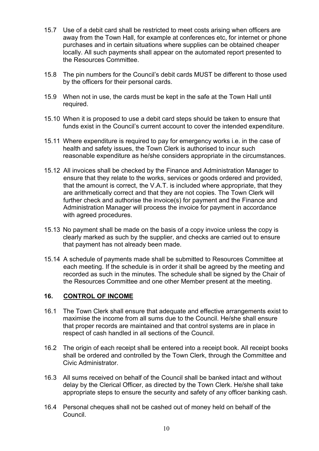- 15.7 Use of a debit card shall be restricted to meet costs arising when officers are away from the Town Hall, for example at conferences etc, for internet or phone purchases and in certain situations where supplies can be obtained cheaper locally. All such payments shall appear on the automated report presented to the Resources Committee.
- 15.8 The pin numbers for the Council's debit cards MUST be different to those used by the officers for their personal cards.
- 15.9 When not in use, the cards must be kept in the safe at the Town Hall until required.
- 15.10 When it is proposed to use a debit card steps should be taken to ensure that funds exist in the Council's current account to cover the intended expenditure.
- 15.11 Where expenditure is required to pay for emergency works i.e. in the case of health and safety issues, the Town Clerk is authorised to incur such reasonable expenditure as he/she considers appropriate in the circumstances.
- 15.12 All invoices shall be checked by the Finance and Administration Manager to ensure that they relate to the works, services or goods ordered and provided, that the amount is correct, the V.A.T. is included where appropriate, that they are arithmetically correct and that they are not copies. The Town Clerk will further check and authorise the invoice(s) for payment and the Finance and Administration Manager will process the invoice for payment in accordance with agreed procedures.
- 15.13 No payment shall be made on the basis of a copy invoice unless the copy is clearly marked as such by the supplier, and checks are carried out to ensure that payment has not already been made.
- 15.14 A schedule of payments made shall be submitted to Resources Committee at each meeting. If the schedule is in order it shall be agreed by the meeting and recorded as such in the minutes. The schedule shall be signed by the Chair of the Resources Committee and one other Member present at the meeting.

#### **16. CONTROL OF INCOME**

- 16.1 The Town Clerk shall ensure that adequate and effective arrangements exist to maximise the income from all sums due to the Council. He/she shall ensure that proper records are maintained and that control systems are in place in respect of cash handled in all sections of the Council.
- 16.2 The origin of each receipt shall be entered into a receipt book. All receipt books shall be ordered and controlled by the Town Clerk, through the Committee and Civic Administrator.
- 16.3 All sums received on behalf of the Council shall be banked intact and without delay by the Clerical Officer, as directed by the Town Clerk. He/she shall take appropriate steps to ensure the security and safety of any officer banking cash.
- 16.4 Personal cheques shall not be cashed out of money held on behalf of the Council.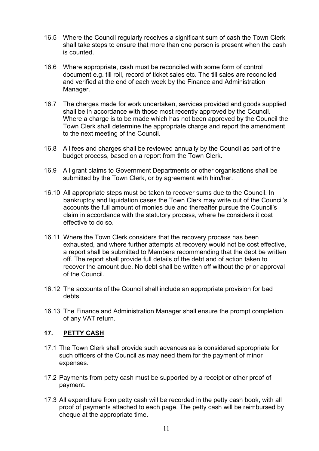- 16.5 Where the Council regularly receives a significant sum of cash the Town Clerk shall take steps to ensure that more than one person is present when the cash is counted.
- 16.6 Where appropriate, cash must be reconciled with some form of control document e.g. till roll, record of ticket sales etc. The till sales are reconciled and verified at the end of each week by the Finance and Administration Manager.
- 16.7 The charges made for work undertaken, services provided and goods supplied shall be in accordance with those most recently approved by the Council. Where a charge is to be made which has not been approved by the Council the Town Clerk shall determine the appropriate charge and report the amendment to the next meeting of the Council.
- 16.8 All fees and charges shall be reviewed annually by the Council as part of the budget process, based on a report from the Town Clerk.
- 16.9 All grant claims to Government Departments or other organisations shall be submitted by the Town Clerk, or by agreement with him/her.
- 16.10 All appropriate steps must be taken to recover sums due to the Council. In bankruptcy and liquidation cases the Town Clerk may write out of the Council's accounts the full amount of monies due and thereafter pursue the Council's claim in accordance with the statutory process, where he considers it cost effective to do so.
- 16.11 Where the Town Clerk considers that the recovery process has been exhausted, and where further attempts at recovery would not be cost effective, a report shall be submitted to Members recommending that the debt be written off. The report shall provide full details of the debt and of action taken to recover the amount due. No debt shall be written off without the prior approval of the Council.
- 16.12 The accounts of the Council shall include an appropriate provision for bad debts.
- 16.13 The Finance and Administration Manager shall ensure the prompt completion of any VAT return.

#### **17. PETTY CASH**

- 17.1 The Town Clerk shall provide such advances as is considered appropriate for such officers of the Council as may need them for the payment of minor expenses.
- 17.2 Payments from petty cash must be supported by a receipt or other proof of payment.
- 17.3 All expenditure from petty cash will be recorded in the petty cash book, with all proof of payments attached to each page. The petty cash will be reimbursed by cheque at the appropriate time.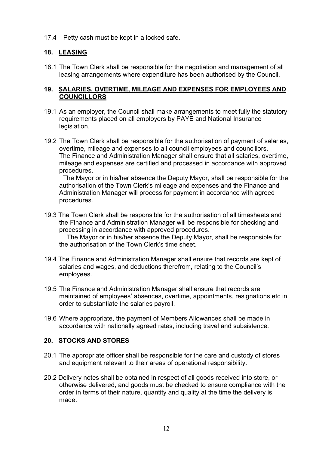17.4 Petty cash must be kept in a locked safe.

# **18. LEASING**

18.1 The Town Clerk shall be responsible for the negotiation and management of all leasing arrangements where expenditure has been authorised by the Council.

#### **19. SALARIES, OVERTIME, MILEAGE AND EXPENSES FOR EMPLOYEES AND COUNCILLORS**

- 19.1 As an employer, the Council shall make arrangements to meet fully the statutory requirements placed on all employers by PAYE and National Insurance legislation.
- 19.2 The Town Clerk shall be responsible for the authorisation of payment of salaries, overtime, mileage and expenses to all council employees and councillors. The Finance and Administration Manager shall ensure that all salaries, overtime, mileage and expenses are certified and processed in accordance with approved procedures.

The Mayor or in his/her absence the Deputy Mayor, shall be responsible for the authorisation of the Town Clerk's mileage and expenses and the Finance and Administration Manager will process for payment in accordance with agreed procedures.

19.3 The Town Clerk shall be responsible for the authorisation of all timesheets and the Finance and Administration Manager will be responsible for checking and processing in accordance with approved procedures.

The Mayor or in his/her absence the Deputy Mayor, shall be responsible for the authorisation of the Town Clerk's time sheet.

- 19.4 The Finance and Administration Manager shall ensure that records are kept of salaries and wages, and deductions therefrom, relating to the Council's employees.
- 19.5 The Finance and Administration Manager shall ensure that records are maintained of employees' absences, overtime, appointments, resignations etc in order to substantiate the salaries payroll.
- 19.6 Where appropriate, the payment of Members Allowances shall be made in accordance with nationally agreed rates, including travel and subsistence.

#### **20. STOCKS AND STORES**

- 20.1 The appropriate officer shall be responsible for the care and custody of stores and equipment relevant to their areas of operational responsibility.
- 20.2 Delivery notes shall be obtained in respect of all goods received into store, or otherwise delivered, and goods must be checked to ensure compliance with the order in terms of their nature, quantity and quality at the time the delivery is made.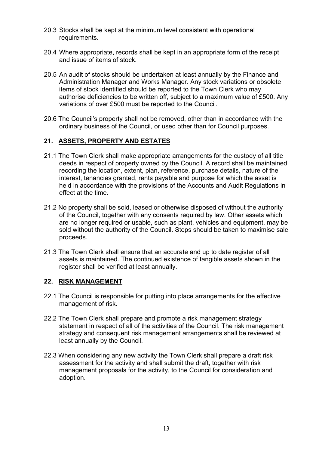- 20.3 Stocks shall be kept at the minimum level consistent with operational requirements.
- 20.4 Where appropriate, records shall be kept in an appropriate form of the receipt and issue of items of stock.
- 20.5 An audit of stocks should be undertaken at least annually by the Finance and Administration Manager and Works Manager. Any stock variations or obsolete items of stock identified should be reported to the Town Clerk who may authorise deficiencies to be written off, subject to a maximum value of £500. Any variations of over £500 must be reported to the Council.
- 20.6 The Council's property shall not be removed, other than in accordance with the ordinary business of the Council, or used other than for Council purposes.

# **21. ASSETS, PROPERTY AND ESTATES**

- 21.1 The Town Clerk shall make appropriate arrangements for the custody of all title deeds in respect of property owned by the Council. A record shall be maintained recording the location, extent, plan, reference, purchase details, nature of the interest, tenancies granted, rents payable and purpose for which the asset is held in accordance with the provisions of the Accounts and Audit Regulations in effect at the time.
- 21.2 No property shall be sold, leased or otherwise disposed of without the authority of the Council, together with any consents required by law. Other assets which are no longer required or usable, such as plant, vehicles and equipment, may be sold without the authority of the Council. Steps should be taken to maximise sale proceeds.
- 21.3 The Town Clerk shall ensure that an accurate and up to date register of all assets is maintained. The continued existence of tangible assets shown in the register shall be verified at least annually.

#### **22. RISK MANAGEMENT**

- 22.1 The Council is responsible for putting into place arrangements for the effective management of risk.
- 22.2 The Town Clerk shall prepare and promote a risk management strategy statement in respect of all of the activities of the Council. The risk management strategy and consequent risk management arrangements shall be reviewed at least annually by the Council.
- 22.3 When considering any new activity the Town Clerk shall prepare a draft risk assessment for the activity and shall submit the draft, together with risk management proposals for the activity, to the Council for consideration and adoption.